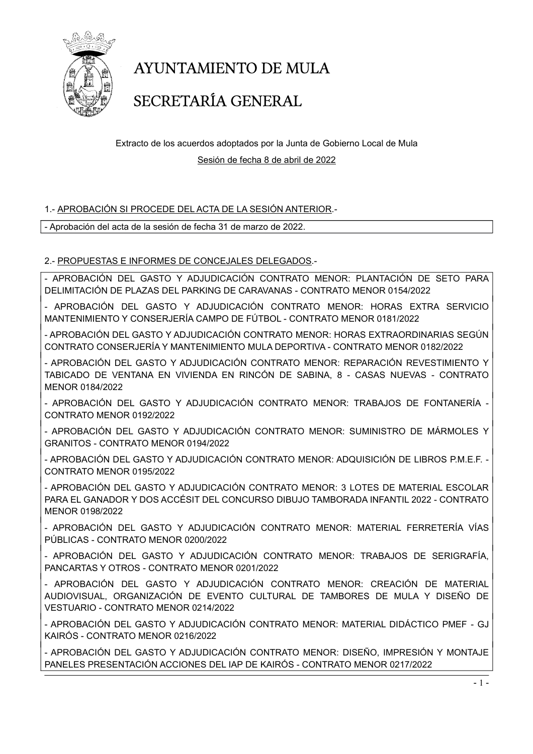

### SECRETARÍA GENERAL

Extracto de los acuerdos adoptados por la Junta de Gobierno Local de Mula Sesión de fecha 8 de abril de 2022

#### 1.- APROBACIÓN SI PROCEDE DEL ACTA DE LA SESIÓN ANTERIOR.-

- Aprobación del acta de la sesión de fecha 31 de marzo de 2022.

#### 2.- PROPUESTAS E INFORMES DE CONCEJALES DELEGADOS.-

- APROBACIÓN DEL GASTO Y ADJUDICACIÓN CONTRATO MENOR: PLANTACIÓN DE SETO PARA DELIMITACIÓN DE PLAZAS DEL PARKING DE CARAVANAS - CONTRATO MENOR 0154/2022

- APROBACIÓN DEL GASTO Y ADJUDICACIÓN CONTRATO MENOR: HORAS EXTRA SERVICIO MANTENIMIENTO Y CONSERJERÍA CAMPO DE FÚTBOL - CONTRATO MENOR 0181/2022

- APROBACIÓN DEL GASTO Y ADJUDICACIÓN CONTRATO MENOR: HORAS EXTRAORDINARIAS SEGÚN CONTRATO CONSERJERÍA Y MANTENIMIENTO MULA DEPORTIVA - CONTRATO MENOR 0182/2022

- APROBACIÓN DEL GASTO Y ADJUDICACIÓN CONTRATO MENOR: REPARACIÓN REVESTIMIENTO Y TABICADO DE VENTANA EN VIVIENDA EN RINCÓN DE SABINA, 8 - CASAS NUEVAS - CONTRATO MENOR 0184/2022

- APROBACIÓN DEL GASTO Y ADJUDICACIÓN CONTRATO MENOR: TRABAJOS DE FONTANERÍA - CONTRATO MENOR 0192/2022

- APROBACIÓN DEL GASTO Y ADJUDICACIÓN CONTRATO MENOR: SUMINISTRO DE MÁRMOLES Y GRANITOS - CONTRATO MENOR 0194/2022

- APROBACIÓN DEL GASTO Y ADJUDICACIÓN CONTRATO MENOR: ADQUISICIÓN DE LIBROS P.M.E.F. - CONTRATO MENOR 0195/2022

- APROBACIÓN DEL GASTO Y ADJUDICACIÓN CONTRATO MENOR: 3 LOTES DE MATERIAL ESCOLAR PARA EL GANADOR Y DOS ACCÉSIT DEL CONCURSO DIBUJO TAMBORADA INFANTIL 2022 - CONTRATO MENOR 0198/2022

- APROBACIÓN DEL GASTO Y ADJUDICACIÓN CONTRATO MENOR: MATERIAL FERRETERÍA VÍAS PÚBLICAS - CONTRATO MENOR 0200/2022

- APROBACIÓN DEL GASTO Y ADJUDICACIÓN CONTRATO MENOR: TRABAJOS DE SERIGRAFÍA, PANCARTAS Y OTROS - CONTRATO MENOR 0201/2022

- APROBACIÓN DEL GASTO Y ADJUDICACIÓN CONTRATO MENOR: CREACIÓN DE MATERIAL AUDIOVISUAL, ORGANIZACIÓN DE EVENTO CULTURAL DE TAMBORES DE MULA Y DISEÑO DE VESTUARIO - CONTRATO MENOR 0214/2022

- APROBACIÓN DEL GASTO Y ADJUDICACIÓN CONTRATO MENOR: MATERIAL DIDÁCTICO PMEF - GJ KAIRÓS - CONTRATO MENOR 0216/2022

- APROBACIÓN DEL GASTO Y ADJUDICACIÓN CONTRATO MENOR: DISEÑO, IMPRESIÓN Y MONTAJE PANELES PRESENTACIÓN ACCIONES DEL IAP DE KAIRÓS - CONTRATO MENOR 0217/2022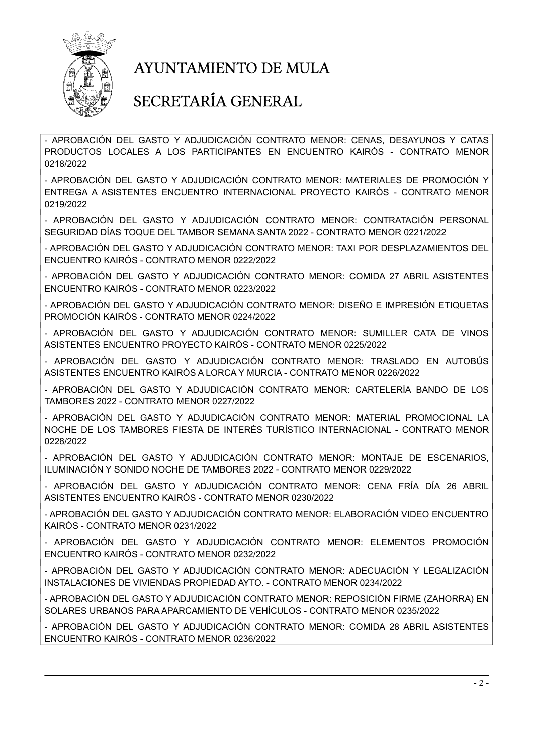

#### SECRETARÍA GENERAL

- APROBACIÓN DEL GASTO Y ADJUDICACIÓN CONTRATO MENOR: CENAS, DESAYUNOS Y CATAS PRODUCTOS LOCALES A LOS PARTICIPANTES EN ENCUENTRO KAIRÓS - CONTRATO MENOR 0218/2022

- APROBACIÓN DEL GASTO Y ADJUDICACIÓN CONTRATO MENOR: MATERIALES DE PROMOCIÓN Y ENTREGA A ASISTENTES ENCUENTRO INTERNACIONAL PROYECTO KAIRÓS - CONTRATO MENOR 0219/2022

- APROBACIÓN DEL GASTO Y ADJUDICACIÓN CONTRATO MENOR: CONTRATACIÓN PERSONAL SEGURIDAD DÍAS TOQUE DEL TAMBOR SEMANA SANTA 2022 - CONTRATO MENOR 0221/2022

- APROBACIÓN DEL GASTO Y ADJUDICACIÓN CONTRATO MENOR: TAXI POR DESPLAZAMIENTOS DEL ENCUENTRO KAIRÓS - CONTRATO MENOR 0222/2022

- APROBACIÓN DEL GASTO Y ADJUDICACIÓN CONTRATO MENOR: COMIDA 27 ABRIL ASISTENTES ENCUENTRO KAIRÓS - CONTRATO MENOR 0223/2022

- APROBACIÓN DEL GASTO Y ADJUDICACIÓN CONTRATO MENOR: DISEÑO E IMPRESIÓN ETIQUETAS PROMOCIÓN KAIRÓS - CONTRATO MENOR 0224/2022

- APROBACIÓN DEL GASTO Y ADJUDICACIÓN CONTRATO MENOR: SUMILLER CATA DE VINOS ASISTENTES ENCUENTRO PROYECTO KAIRÓS - CONTRATO MENOR 0225/2022

- APROBACIÓN DEL GASTO Y ADJUDICACIÓN CONTRATO MENOR: TRASLADO EN AUTOBÚS ASISTENTES ENCUENTRO KAIRÓS A LORCA Y MURCIA - CONTRATO MENOR 0226/2022

- APROBACIÓN DEL GASTO Y ADJUDICACIÓN CONTRATO MENOR: CARTELERÍA BANDO DE LOS TAMBORES 2022 - CONTRATO MENOR 0227/2022

- APROBACIÓN DEL GASTO Y ADJUDICACIÓN CONTRATO MENOR: MATERIAL PROMOCIONAL LA NOCHE DE LOS TAMBORES FIESTA DE INTERÉS TURÍSTICO INTERNACIONAL - CONTRATO MENOR 0228/2022

- APROBACIÓN DEL GASTO Y ADJUDICACIÓN CONTRATO MENOR: MONTAJE DE ESCENARIOS, ILUMINACIÓN Y SONIDO NOCHE DE TAMBORES 2022 - CONTRATO MENOR 0229/2022

- APROBACIÓN DEL GASTO Y ADJUDICACIÓN CONTRATO MENOR: CENA FRÍA DÍA 26 ABRIL ASISTENTES ENCUENTRO KAIRÓS - CONTRATO MENOR 0230/2022

- APROBACIÓN DEL GASTO Y ADJUDICACIÓN CONTRATO MENOR: ELABORACIÓN VIDEO ENCUENTRO KAIRÓS - CONTRATO MENOR 0231/2022

- APROBACIÓN DEL GASTO Y ADJUDICACIÓN CONTRATO MENOR: ELEMENTOS PROMOCIÓN ENCUENTRO KAIRÓS - CONTRATO MENOR 0232/2022

- APROBACIÓN DEL GASTO Y ADJUDICACIÓN CONTRATO MENOR: ADECUACIÓN Y LEGALIZACIÓN INSTALACIONES DE VIVIENDAS PROPIEDAD AYTO. - CONTRATO MENOR 0234/2022

- APROBACIÓN DEL GASTO Y ADJUDICACIÓN CONTRATO MENOR: REPOSICIÓN FIRME (ZAHORRA) EN SOLARES URBANOS PARA APARCAMIENTO DE VEHÍCULOS - CONTRATO MENOR 0235/2022

- APROBACIÓN DEL GASTO Y ADJUDICACIÓN CONTRATO MENOR: COMIDA 28 ABRIL ASISTENTES ENCUENTRO KAIRÓS - CONTRATO MENOR 0236/2022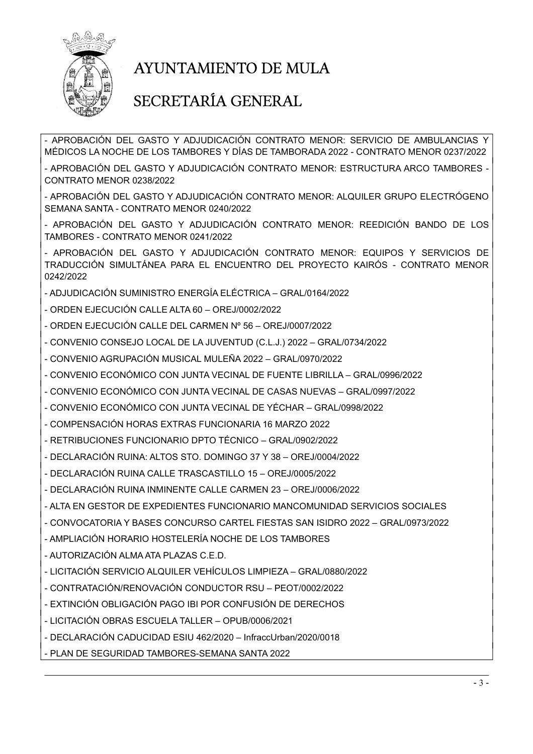

### SECRETARÍA GENERAL

- APROBACIÓN DEL GASTO Y ADJUDICACIÓN CONTRATO MENOR: SERVICIO DE AMBULANCIAS Y MÉDICOS LA NOCHE DE LOS TAMBORES Y DÍAS DE TAMBORADA 2022 - CONTRATO MENOR 0237/2022

- APROBACIÓN DEL GASTO Y ADJUDICACIÓN CONTRATO MENOR: ESTRUCTURA ARCO TAMBORES - CONTRATO MENOR 0238/2022

- APROBACIÓN DEL GASTO Y ADJUDICACIÓN CONTRATO MENOR: ALQUILER GRUPO ELECTRÓGENO SEMANA SANTA - CONTRATO MENOR 0240/2022

- APROBACIÓN DEL GASTO Y ADJUDICACIÓN CONTRATO MENOR: REEDICIÓN BANDO DE LOS TAMBORES - CONTRATO MENOR 0241/2022

- APROBACIÓN DEL GASTO Y ADJUDICACIÓN CONTRATO MENOR: EQUIPOS Y SERVICIOS DE TRADUCCIÓN SIMULTÁNEA PARA EL ENCUENTRO DEL PROYECTO KAIRÓS - CONTRATO MENOR 0242/2022

- ADJUDICACIÓN SUMINISTRO ENERGÍA ELÉCTRICA – GRAL/0164/2022

- ORDEN EJECUCIÓN CALLE ALTA 60 OREJ/0002/2022
- ORDEN EJECUCIÓN CALLE DEL CARMEN Nº 56 OREJ/0007/2022
- CONVENIO CONSEJO LOCAL DE LA JUVENTUD (C.L.J.) 2022 GRAL/0734/2022
- CONVENIO AGRUPACIÓN MUSICAL MULEÑA 2022 GRAL/0970/2022
- CONVENIO ECONÓMICO CON JUNTA VECINAL DE FUENTE LIBRILLA GRAL/0996/2022
- CONVENIO ECONÓMICO CON JUNTA VECINAL DE CASAS NUEVAS GRAL/0997/2022
- CONVENIO ECONÓMICO CON JUNTA VECINAL DE YÉCHAR GRAL/0998/2022
- COMPENSACIÓN HORAS EXTRAS FUNCIONARIA 16 MARZO 2022
- RETRIBUCIONES FUNCIONARIO DPTO TÉCNICO GRAL/0902/2022
- DECLARACIÓN RUINA: ALTOS STO. DOMINGO 37 Y 38 OREJ/0004/2022
- DECLARACIÓN RUINA CALLE TRASCASTILLO 15 OREJ/0005/2022
- DECLARACIÓN RUINA INMINENTE CALLE CARMEN 23 OREJ/0006/2022
- ALTA EN GESTOR DE EXPEDIENTES FUNCIONARIO MANCOMUNIDAD SERVICIOS SOCIALES
- CONVOCATORIA Y BASES CONCURSO CARTEL FIESTAS SAN ISIDRO 2022 GRAL/0973/2022
- AMPLIACIÓN HORARIO HOSTELERÍA NOCHE DE LOS TAMBORES
- AUTORIZACIÓN ALMA ATA PLAZAS C.E.D.
- LICITACIÓN SERVICIO ALQUILER VEHÍCULOS LIMPIEZA GRAL/0880/2022
- CONTRATACIÓN/RENOVACIÓN CONDUCTOR RSU PEOT/0002/2022
- EXTINCIÓN OBLIGACIÓN PAGO IBI POR CONFUSIÓN DE DERECHOS
- LICITACIÓN OBRAS ESCUELA TALLER OPUB/0006/2021
- DECLARACIÓN CADUCIDAD ESIU 462/2020 InfraccUrban/2020/0018
- PLAN DE SEGURIDAD TAMBORES-SEMANA SANTA 2022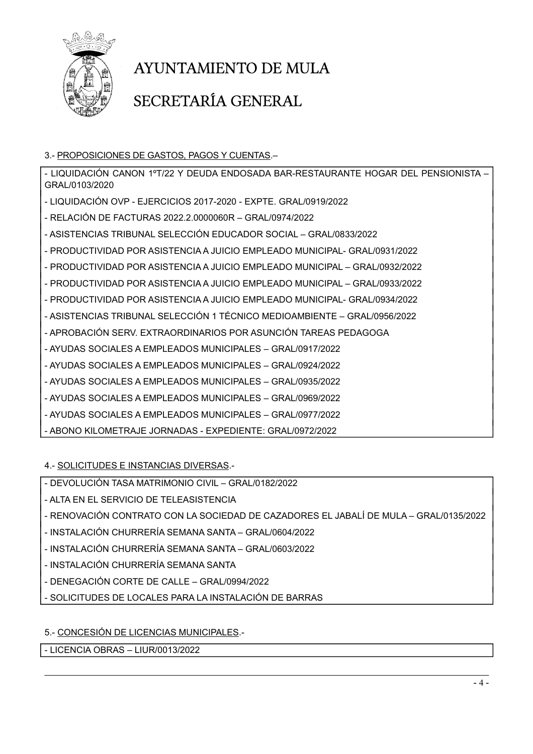

### SECRETARÍA GENERAL

3.- PROPOSICIONES DE GASTOS, PAGOS Y CUENTAS.–

- LIQUIDACIÓN CANON 1ºT/22 Y DEUDA ENDOSADA BAR-RESTAURANTE HOGAR DEL PENSIONISTA – GRAL/0103/2020 - LIQUIDACIÓN OVP - EJERCICIOS 2017-2020 - EXPTE. GRAL/0919/2022 - RELACIÓN DE FACTURAS 2022.2.0000060R – GRAL/0974/2022 - ASISTENCIAS TRIBUNAL SELECCIÓN EDUCADOR SOCIAL – GRAL/0833/2022 - PRODUCTIVIDAD POR ASISTENCIA A JUICIO EMPLEADO MUNICIPAL- GRAL/0931/2022 - PRODUCTIVIDAD POR ASISTENCIA A JUICIO EMPLEADO MUNICIPAL – GRAL/0932/2022 - PRODUCTIVIDAD POR ASISTENCIA A JUICIO EMPLEADO MUNICIPAL – GRAL/0933/2022 - PRODUCTIVIDAD POR ASISTENCIA A JUICIO EMPLEADO MUNICIPAL- GRAL/0934/2022 - ASISTENCIAS TRIBUNAL SELECCIÓN 1 TÉCNICO MEDIOAMBIENTE – GRAL/0956/2022 - APROBACIÓN SERV. EXTRAORDINARIOS POR ASUNCIÓN TAREAS PEDAGOGA - AYUDAS SOCIALES A EMPLEADOS MUNICIPALES – GRAL/0917/2022 - AYUDAS SOCIALES A EMPLEADOS MUNICIPALES – GRAL/0924/2022 - AYUDAS SOCIALES A EMPLEADOS MUNICIPALES – GRAL/0935/2022 - AYUDAS SOCIALES A EMPLEADOS MUNICIPALES – GRAL/0969/2022 - AYUDAS SOCIALES A EMPLEADOS MUNICIPALES – GRAL/0977/2022 - ABONO KILOMETRAJE JORNADAS - EXPEDIENTE: GRAL/0972/2022

4.- SOLICITUDES E INSTANCIAS DIVERSAS.-

- DEVOLUCIÓN TASA MATRIMONIO CIVIL – GRAL/0182/2022

- ALTA EN EL SERVICIO DE TELEASISTENCIA

- RENOVACIÓN CONTRATO CON LA SOCIEDAD DE CAZADORES EL JABALÍ DE MULA GRAL/0135/2022
- INSTALACIÓN CHURRERÍA SEMANA SANTA GRAL/0604/2022
- INSTALACIÓN CHURRERÍA SEMANA SANTA GRAL/0603/2022
- INSTALACIÓN CHURRERÍA SEMANA SANTA
- DENEGACIÓN CORTE DE CALLE GRAL/0994/2022
- SOLICITUDES DE LOCALES PARA LA INSTALACIÓN DE BARRAS

5.- CONCESIÓN DE LICENCIAS MUNICIPALES.-

- LICENCIA OBRAS – LIUR/0013/2022